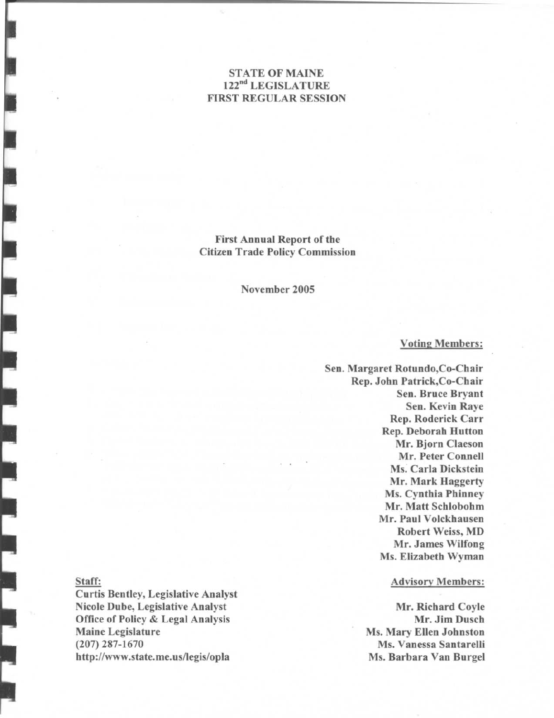# STATE OF MAINE 122"<sup>d</sup> LEGISLATURE FIRST REGULAR SESSION

First Annual Report of the Citizen Trade Policy Commission

November 2005

#### Voting Members:

Sen. Margaret Rotundo,Co-Chair Rep. John Patrick,Co-Chair Sen. Bruce Bryant Sen. Kevin Raye Rep. Roderick Carr Rep. Deborah Hutton Mr. Bjorn Claeson Mr. Peter Connell Ms. Carla Dickstein Mr. Mark Haggerty Ms. Cynthia Phinney Mr. Matt Schlobohm Mr. Paul Volckhausen Robert Weiss, MD Mr. James Wilfong Ms. Elizabeth Wyman

### Advisory Members:

Mr. Richard Coyle Mr. Jim Dusch Ms. Mary Ellen Johnston Ms. Vanessa Santarelli Ms. Barbara Van Burgel

#### Staff:

Curtis Bentley, Legislative Analyst Nicole Dube, Legislative Analyst Office of Policy & Legal Analysis Maine Legislature (207) 287-1670 http://www.state.me.us/legis/opla